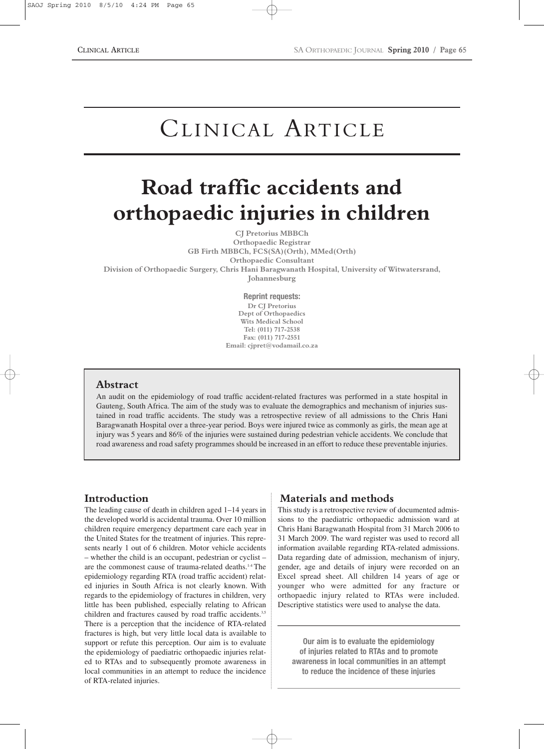# CLINICAL ARTICLE

# **Road traffic accidents and orthopaedic injuries in children**

**CJ Pretorius MBBCh**

**Orthopaedic Registrar GB Firth MBBCh, FCS(SA)(Orth), MMed(Orth) Orthopaedic Consultant Division of Orthopaedic Surgery, Chris Hani Baragwanath Hospital, University of Witwatersrand,**

**Johannesburg**

**Reprint requests: Dr CJ Pretorius Dept of Orthopaedics Wits Medical School Tel: (011) 717-2538 Fax: (011) 717-2551 Email: cjpret@vodamail.co.za**

#### **Abstract**

An audit on the epidemiology of road traffic accident-related fractures was performed in a state hospital in Gauteng, South Africa. The aim of the study was to evaluate the demographics and mechanism of injuries sustained in road traffic accidents. The study was a retrospective review of all admissions to the Chris Hani Baragwanath Hospital over a three-year period. Boys were injured twice as commonly as girls, the mean age at injury was 5 years and 86% of the injuries were sustained during pedestrian vehicle accidents. We conclude that road awareness and road safety programmes should be increased in an effort to reduce these preventable injuries.

## **Introduction**

The leading cause of death in children aged 1–14 years in the developed world is accidental trauma. Over 10 million children require emergency department care each year in the United States for the treatment of injuries. This represents nearly 1 out of 6 children. Motor vehicle accidents – whether the child is an occupant, pedestrian or cyclist – are the commonest cause of trauma-related deaths.1-4 The epidemiology regarding RTA (road traffic accident) related injuries in South Africa is not clearly known. With regards to the epidemiology of fractures in children, very little has been published, especially relating to African children and fractures caused by road traffic accidents.<sup>3,5</sup> There is a perception that the incidence of RTA-related fractures is high, but very little local data is available to support or refute this perception. Our aim is to evaluate the epidemiology of paediatric orthopaedic injuries related to RTAs and to subsequently promote awareness in local communities in an attempt to reduce the incidence of RTA-related injuries.

## **Materials and methods**

This study is a retrospective review of documented admissions to the paediatric orthopaedic admission ward at Chris Hani Baragwanath Hospital from 31 March 2006 to 31 March 2009. The ward register was used to record all information available regarding RTA-related admissions. Data regarding date of admission, mechanism of injury, gender, age and details of injury were recorded on an Excel spread sheet. All children 14 years of age or younger who were admitted for any fracture or orthopaedic injury related to RTAs were included. Descriptive statistics were used to analyse the data.

**Our aim is to evaluate the epidemiology of injuries related to RTAs and to promote awareness in local communities in an attempt to reduce the incidence of these injuries**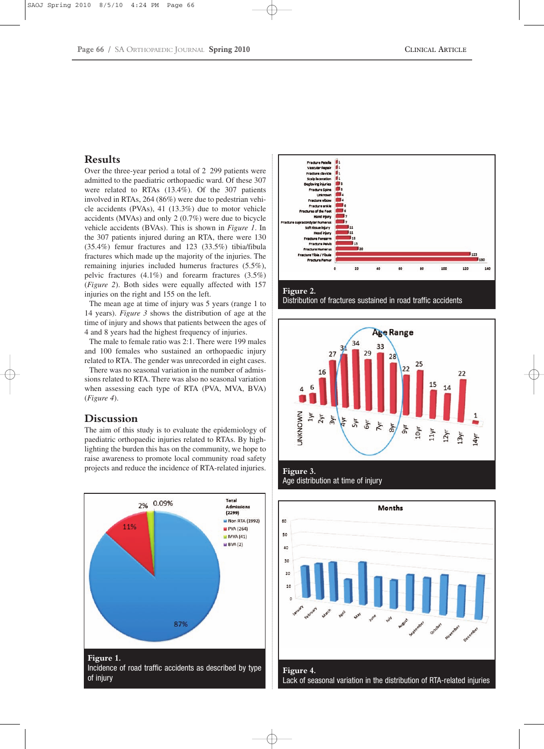#### **Results**

Over the three-year period a total of 2 299 patients were admitted to the paediatric orthopaedic ward. Of these 307 were related to RTAs (13.4%). Of the 307 patients involved in RTAs, 264 (86%) were due to pedestrian vehicle accidents (PVAs), 41 (13.3%) due to motor vehicle accidents (MVAs) and only 2 (0.7%) were due to bicycle vehicle accidents (BVAs). This is shown in *Figure 1*. In the 307 patients injured during an RTA, there were 130 (35.4%) femur fractures and 123 (33.5%) tibia/fibula fractures which made up the majority of the injuries. The remaining injuries included humerus fractures (5.5%), pelvic fractures (4.1%) and forearm fractures (3.5%) (*Figure 2*). Both sides were equally affected with 157 injuries on the right and 155 on the left.

The mean age at time of injury was 5 years (range 1 to 14 years). *Figure 3* shows the distribution of age at the time of injury and shows that patients between the ages of 4 and 8 years had the highest frequency of injuries.

The male to female ratio was 2:1. There were 199 males and 100 females who sustained an orthopaedic injury related to RTA. The gender was unrecorded in eight cases.

There was no seasonal variation in the number of admissions related to RTA. There was also no seasonal variation when assessing each type of RTA (PVA, MVA, BVA) (*Figure 4*).

#### **Discussion**

The aim of this study is to evaluate the epidemiology of paediatric orthopaedic injuries related to RTAs. By highlighting the burden this has on the community, we hope to raise awareness to promote local community road safety projects and reduce the incidence of RTA-related injuries.









**Figure 3.**  Age distribution at time of injury

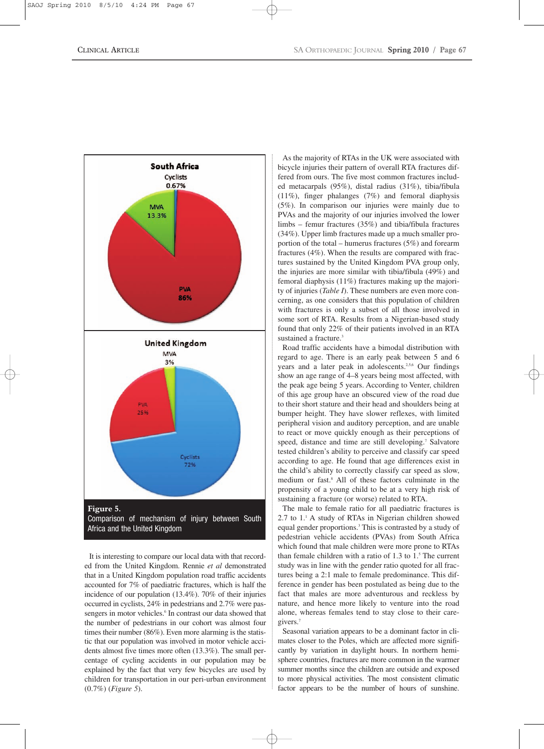

It is interesting to compare our local data with that recorded from the United Kingdom. Rennie *et al* demonstrated that in a United Kingdom population road traffic accidents accounted for 7% of paediatric fractures, which is half the incidence of our population (13.4%). 70% of their injuries occurred in cyclists, 24% in pedestrians and 2.7% were passengers in motor vehicles.<sup>6</sup> In contrast our data showed that the number of pedestrians in our cohort was almost four times their number (86%). Even more alarming is the statistic that our population was involved in motor vehicle accidents almost five times more often (13.3%). The small percentage of cycling accidents in our population may be explained by the fact that very few bicycles are used by children for transportation in our peri-urban environment (0.7%) (*Figure 5*).

As the majority of RTAs in the UK were associated with bicycle injuries their pattern of overall RTA fractures differed from ours. The five most common fractures included metacarpals (95%), distal radius (31%), tibia/fibula (11%), finger phalanges (7%) and femoral diaphysis (5%). In comparison our injuries were mainly due to PVAs and the majority of our injuries involved the lower limbs – femur fractures (35%) and tibia/fibula fractures (34%). Upper limb fractures made up a much smaller proportion of the total – humerus fractures (5%) and forearm fractures (4%). When the results are compared with fractures sustained by the United Kingdom PVA group only, the injuries are more similar with tibia/fibula (49%) and femoral diaphysis (11%) fractures making up the majority of injuries (*Table I*). These numbers are even more concerning, as one considers that this population of children with fractures is only a subset of all those involved in some sort of RTA. Results from a Nigerian-based study found that only 22% of their patients involved in an RTA sustained a fracture.<sup>3</sup>

Road traffic accidents have a bimodal distribution with regard to age. There is an early peak between 5 and 6 years and a later peak in adolescents.<sup>2,5,6</sup> Our findings show an age range of 4–8 years being most affected, with the peak age being 5 years. According to Venter, children of this age group have an obscured view of the road due to their short stature and their head and shoulders being at bumper height. They have slower reflexes, with limited peripheral vision and auditory perception, and are unable to react or move quickly enough as their perceptions of speed, distance and time are still developing.<sup>7</sup> Salvatore tested children's ability to perceive and classify car speed according to age. He found that age differences exist in the child's ability to correctly classify car speed as slow, medium or fast.8 All of these factors culminate in the propensity of a young child to be at a very high risk of sustaining a fracture (or worse) related to RTA.

The male to female ratio for all paediatric fractures is  $2.7$  to  $1.1$  A study of RTAs in Nigerian children showed equal gender proportions.3 This is contrasted by a study of pedestrian vehicle accidents (PVAs) from South Africa which found that male children were more prone to RTAs than female children with a ratio of  $1.3$  to  $1.5$  The current study was in line with the gender ratio quoted for all fractures being a 2:1 male to female predominance. This difference in gender has been postulated as being due to the fact that males are more adventurous and reckless by nature, and hence more likely to venture into the road alone, whereas females tend to stay close to their caregivers.7

Seasonal variation appears to be a dominant factor in climates closer to the Poles, which are affected more significantly by variation in daylight hours. In northern hemisphere countries, fractures are more common in the warmer summer months since the children are outside and exposed to more physical activities. The most consistent climatic factor appears to be the number of hours of sunshine.